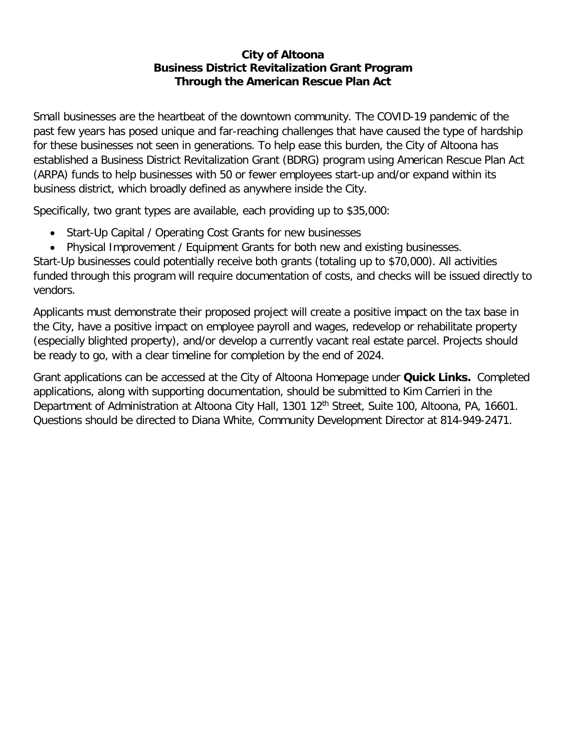### **City of Altoona Business District Revitalization Grant Program Through the American Rescue Plan Act**

Small businesses are the heartbeat of the downtown community. The COVID-19 pandemic of the past few years has posed unique and far-reaching challenges that have caused the type of hardship for these businesses not seen in generations. To help ease this burden, the City of Altoona has established a Business District Revitalization Grant (BDRG) program using American Rescue Plan Act (ARPA) funds to help businesses with 50 or fewer employees start-up and/or expand within its business district, which broadly defined as anywhere inside the City.

Specifically, two grant types are available, each providing up to \$35,000:

- Start-Up Capital / Operating Cost Grants for new businesses
- Physical Improvement / Equipment Grants for both new and existing businesses.

Start-Up businesses could potentially receive both grants (totaling up to \$70,000). All activities funded through this program will require documentation of costs, and checks will be issued directly to vendors.

Applicants must demonstrate their proposed project will create a positive impact on the tax base in the City, have a positive impact on employee payroll and wages, redevelop or rehabilitate property (especially blighted property), and/or develop a currently vacant real estate parcel. Projects should be ready to go, with a clear timeline for completion by the end of 2024.

Grant applications can be accessed at the City of Altoona Homepage under **Quick Links.** Completed applications, along with supporting documentation, should be submitted to Kim Carrieri in the Department of Administration at Altoona City Hall, 1301 12<sup>th</sup> Street, Suite 100, Altoona, PA, 16601. Questions should be directed to Diana White, Community Development Director at 814-949-2471.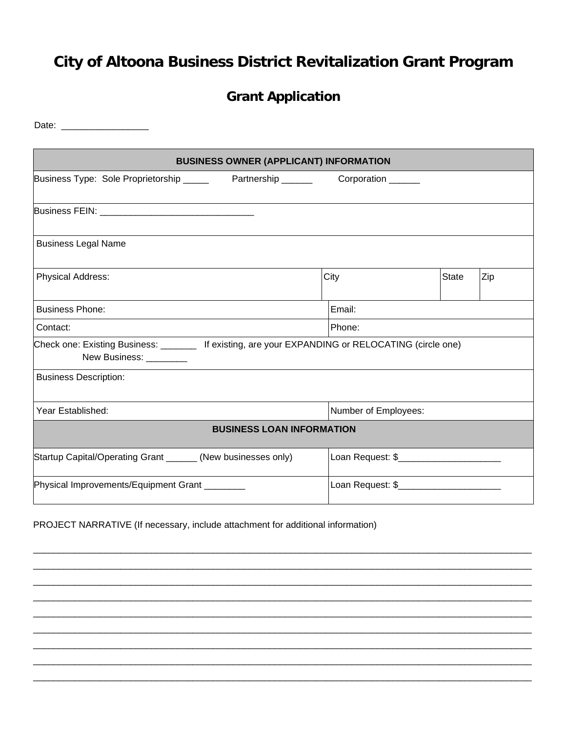# **City of Altoona Business District Revitalization Grant Program**

### **Grant Application**

Date: \_\_\_\_\_\_\_\_\_\_\_\_\_\_\_\_\_

| <b>BUSINESS OWNER (APPLICANT) INFORMATION</b>                                                                               |      |                                          |       |     |
|-----------------------------------------------------------------------------------------------------------------------------|------|------------------------------------------|-------|-----|
| Business Type: Sole Proprietorship _______ Partnership ________ Corporation _____                                           |      |                                          |       |     |
|                                                                                                                             |      |                                          |       |     |
| <b>Business Legal Name</b>                                                                                                  |      |                                          |       |     |
| Physical Address:                                                                                                           | City |                                          | State | Zip |
| <b>Business Phone:</b>                                                                                                      |      | Email:                                   |       |     |
| Contact:                                                                                                                    |      | Phone:                                   |       |     |
| Check one: Existing Business: _______ If existing, are your EXPANDING or RELOCATING (circle one)<br>New Business: _________ |      |                                          |       |     |
| <b>Business Description:</b>                                                                                                |      |                                          |       |     |
| Year Established:                                                                                                           |      | Number of Employees:                     |       |     |
| <b>BUSINESS LOAN INFORMATION</b>                                                                                            |      |                                          |       |     |
| Startup Capital/Operating Grant ______ (New businesses only)                                                                |      | Loan Request: \$________________________ |       |     |
| Physical Improvements/Equipment Grant                                                                                       |      | Loan Request: \$                         |       |     |

\_\_\_\_\_\_\_\_\_\_\_\_\_\_\_\_\_\_\_\_\_\_\_\_\_\_\_\_\_\_\_\_\_\_\_\_\_\_\_\_\_\_\_\_\_\_\_\_\_\_\_\_\_\_\_\_\_\_\_\_\_\_\_\_\_\_\_\_\_\_\_\_\_\_\_\_\_\_\_\_\_\_\_\_\_\_\_\_\_\_\_\_\_\_\_\_\_ \_\_\_\_\_\_\_\_\_\_\_\_\_\_\_\_\_\_\_\_\_\_\_\_\_\_\_\_\_\_\_\_\_\_\_\_\_\_\_\_\_\_\_\_\_\_\_\_\_\_\_\_\_\_\_\_\_\_\_\_\_\_\_\_\_\_\_\_\_\_\_\_\_\_\_\_\_\_\_\_\_\_\_\_\_\_\_\_\_\_\_\_\_\_\_\_\_ \_\_\_\_\_\_\_\_\_\_\_\_\_\_\_\_\_\_\_\_\_\_\_\_\_\_\_\_\_\_\_\_\_\_\_\_\_\_\_\_\_\_\_\_\_\_\_\_\_\_\_\_\_\_\_\_\_\_\_\_\_\_\_\_\_\_\_\_\_\_\_\_\_\_\_\_\_\_\_\_\_\_\_\_\_\_\_\_\_\_\_\_\_\_\_\_\_ \_\_\_\_\_\_\_\_\_\_\_\_\_\_\_\_\_\_\_\_\_\_\_\_\_\_\_\_\_\_\_\_\_\_\_\_\_\_\_\_\_\_\_\_\_\_\_\_\_\_\_\_\_\_\_\_\_\_\_\_\_\_\_\_\_\_\_\_\_\_\_\_\_\_\_\_\_\_\_\_\_\_\_\_\_\_\_\_\_\_\_\_\_\_\_\_\_ \_\_\_\_\_\_\_\_\_\_\_\_\_\_\_\_\_\_\_\_\_\_\_\_\_\_\_\_\_\_\_\_\_\_\_\_\_\_\_\_\_\_\_\_\_\_\_\_\_\_\_\_\_\_\_\_\_\_\_\_\_\_\_\_\_\_\_\_\_\_\_\_\_\_\_\_\_\_\_\_\_\_\_\_\_\_\_\_\_\_\_\_\_\_\_\_\_ \_\_\_\_\_\_\_\_\_\_\_\_\_\_\_\_\_\_\_\_\_\_\_\_\_\_\_\_\_\_\_\_\_\_\_\_\_\_\_\_\_\_\_\_\_\_\_\_\_\_\_\_\_\_\_\_\_\_\_\_\_\_\_\_\_\_\_\_\_\_\_\_\_\_\_\_\_\_\_\_\_\_\_\_\_\_\_\_\_\_\_\_\_\_\_\_\_ \_\_\_\_\_\_\_\_\_\_\_\_\_\_\_\_\_\_\_\_\_\_\_\_\_\_\_\_\_\_\_\_\_\_\_\_\_\_\_\_\_\_\_\_\_\_\_\_\_\_\_\_\_\_\_\_\_\_\_\_\_\_\_\_\_\_\_\_\_\_\_\_\_\_\_\_\_\_\_\_\_\_\_\_\_\_\_\_\_\_\_\_\_\_\_\_\_ \_\_\_\_\_\_\_\_\_\_\_\_\_\_\_\_\_\_\_\_\_\_\_\_\_\_\_\_\_\_\_\_\_\_\_\_\_\_\_\_\_\_\_\_\_\_\_\_\_\_\_\_\_\_\_\_\_\_\_\_\_\_\_\_\_\_\_\_\_\_\_\_\_\_\_\_\_\_\_\_\_\_\_\_\_\_\_\_\_\_\_\_\_\_\_\_\_ \_\_\_\_\_\_\_\_\_\_\_\_\_\_\_\_\_\_\_\_\_\_\_\_\_\_\_\_\_\_\_\_\_\_\_\_\_\_\_\_\_\_\_\_\_\_\_\_\_\_\_\_\_\_\_\_\_\_\_\_\_\_\_\_\_\_\_\_\_\_\_\_\_\_\_\_\_\_\_\_\_\_\_\_\_\_\_\_\_\_\_\_\_\_\_\_\_

PROJECT NARRATIVE (If necessary, include attachment for additional information)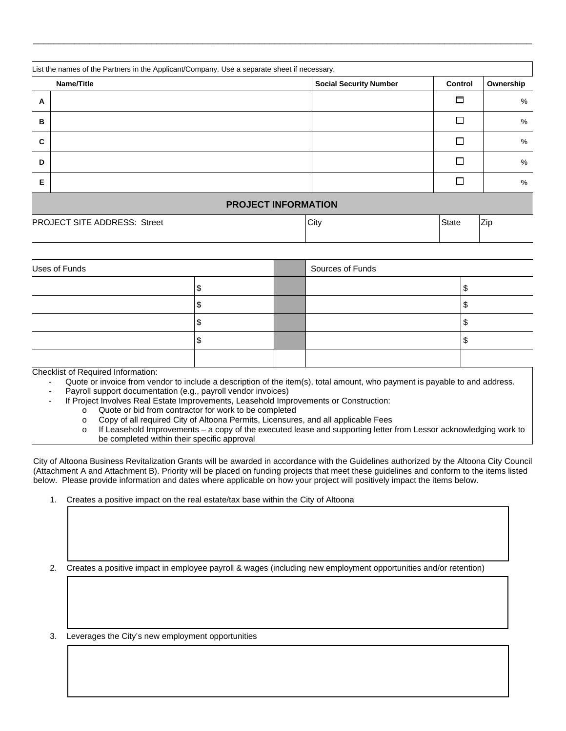|   | List the names of the Partners in the Applicant/Company. Use a separate sheet if necessary. |                               |              |           |
|---|---------------------------------------------------------------------------------------------|-------------------------------|--------------|-----------|
|   | Name/Title                                                                                  | <b>Social Security Number</b> | Control      | Ownership |
| A |                                                                                             |                               | ◘            | %         |
| B |                                                                                             |                               | Г            | %         |
| C |                                                                                             |                               | Г            | %         |
| D |                                                                                             |                               | П            | %         |
| Е |                                                                                             |                               | П            | %         |
|   |                                                                                             | <b>PROJECT INFORMATION</b>    |              |           |
|   | PROJECT SITE ADDRESS: Street                                                                | City                          | <b>State</b> | Zip       |

\_\_\_\_\_\_\_\_\_\_\_\_\_\_\_\_\_\_\_\_\_\_\_\_\_\_\_\_\_\_\_\_\_\_\_\_\_\_\_\_\_\_\_\_\_\_\_\_\_\_\_\_\_\_\_\_\_\_\_\_\_\_\_\_\_\_\_\_\_\_\_\_\_\_\_\_\_\_\_\_\_\_\_\_\_\_\_\_\_\_\_\_\_\_\_\_\_

| Uses of Funds |  | Sources of Funds |  |  |
|---------------|--|------------------|--|--|
|               |  |                  |  |  |
|               |  |                  |  |  |
|               |  |                  |  |  |
|               |  |                  |  |  |
|               |  |                  |  |  |

Checklist of Required Information:

- Quote or invoice from vendor to include a description of the item(s), total amount, who payment is payable to and address.
- Payroll support documentation (e.g., payroll vendor invoices)
	- If Project Involves Real Estate Improvements, Leasehold Improvements or Construction:
		- o Quote or bid from contractor for work to be completed
		- o Copy of all required City of Altoona Permits, Licensures, and all applicable Fees
		- o If Leasehold Improvements a copy of the executed lease and supporting letter from Lessor acknowledging work to be completed within their specific approval

City of Altoona Business Revitalization Grants will be awarded in accordance with the Guidelines authorized by the Altoona City Council (Attachment A and Attachment B). Priority will be placed on funding projects that meet these guidelines and conform to the items listed below. Please provide information and dates where applicable on how your project will positively impact the items below.

1. Creates a positive impact on the real estate/tax base within the City of Altoona

2. Creates a positive impact in employee payroll & wages (including new employment opportunities and/or retention)

3. Leverages the City's new employment opportunities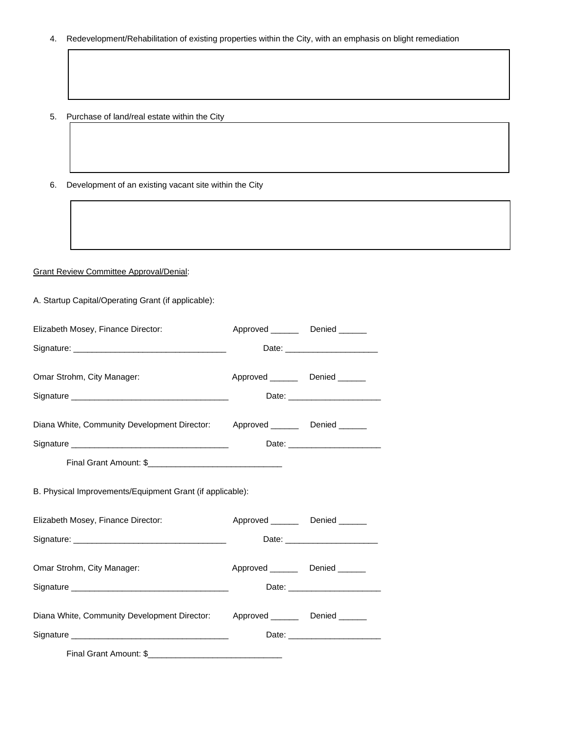- 4. Redevelopment/Rehabilitation of existing properties within the City, with an emphasis on blight remediation
- 5. Purchase of land/real estate within the City
- 6. Development of an existing vacant site within the City

#### Grant Review Committee Approval/Denial:

A. Startup Capital/Operating Grant (if applicable):

| Elizabeth Mosey, Finance Director:                                            | Approved _________ Denied _______   |                                |
|-------------------------------------------------------------------------------|-------------------------------------|--------------------------------|
|                                                                               |                                     |                                |
| Omar Strohm, City Manager:                                                    | Approved __________ Denied _______  |                                |
|                                                                               |                                     | Date: ________________________ |
| Diana White, Community Development Director: Approved _______ Denied ______   |                                     |                                |
|                                                                               |                                     |                                |
|                                                                               |                                     |                                |
| B. Physical Improvements/Equipment Grant (if applicable):                     |                                     |                                |
| Elizabeth Mosey, Finance Director:                                            | Approved __________ Denied _______  |                                |
|                                                                               |                                     |                                |
| Omar Strohm, City Manager:                                                    | Approved ___________ Denied _______ |                                |
|                                                                               |                                     |                                |
| Diana White, Community Development Director: Approved ________ Denied _______ |                                     |                                |
|                                                                               |                                     |                                |
| Final Grant Amount: \$                                                        |                                     |                                |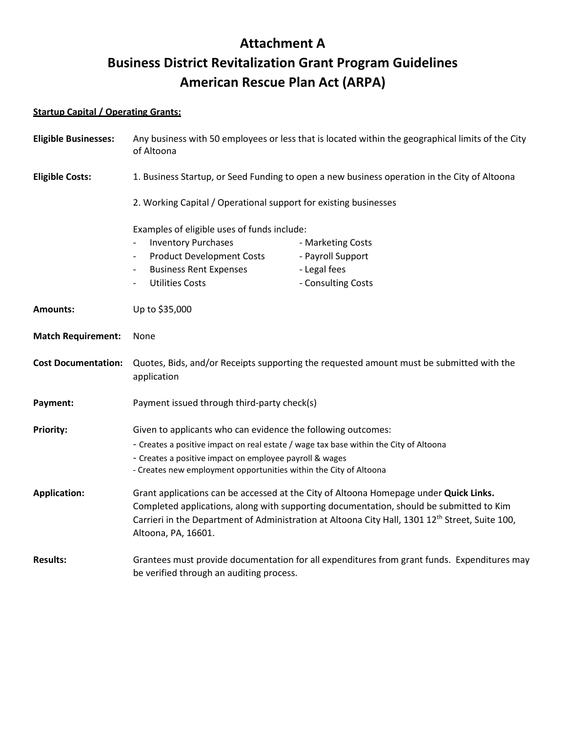## **Attachment A Business District Revitalization Grant Program Guidelines American Rescue Plan Act (ARPA)**

#### **Startup Capital / Operating Grants:**

| <b>Eligible Businesses:</b> | Any business with 50 employees or less that is located within the geographical limits of the City<br>of Altoona                                                                                                                                                                                                        |                    |  |  |
|-----------------------------|------------------------------------------------------------------------------------------------------------------------------------------------------------------------------------------------------------------------------------------------------------------------------------------------------------------------|--------------------|--|--|
| <b>Eligible Costs:</b>      | 1. Business Startup, or Seed Funding to open a new business operation in the City of Altoona                                                                                                                                                                                                                           |                    |  |  |
|                             | 2. Working Capital / Operational support for existing businesses<br>Examples of eligible uses of funds include:                                                                                                                                                                                                        |                    |  |  |
|                             |                                                                                                                                                                                                                                                                                                                        |                    |  |  |
|                             | <b>Inventory Purchases</b><br>$\overline{\phantom{a}}$                                                                                                                                                                                                                                                                 | - Marketing Costs  |  |  |
|                             | <b>Product Development Costs</b>                                                                                                                                                                                                                                                                                       | - Payroll Support  |  |  |
|                             | <b>Business Rent Expenses</b><br>$\overline{\phantom{a}}$                                                                                                                                                                                                                                                              | - Legal fees       |  |  |
|                             | <b>Utilities Costs</b><br>$\overline{\phantom{a}}$                                                                                                                                                                                                                                                                     | - Consulting Costs |  |  |
| <b>Amounts:</b>             | Up to \$35,000                                                                                                                                                                                                                                                                                                         |                    |  |  |
| <b>Match Requirement:</b>   | None                                                                                                                                                                                                                                                                                                                   |                    |  |  |
| <b>Cost Documentation:</b>  | Quotes, Bids, and/or Receipts supporting the requested amount must be submitted with the<br>application                                                                                                                                                                                                                |                    |  |  |
| Payment:                    | Payment issued through third-party check(s)                                                                                                                                                                                                                                                                            |                    |  |  |
| <b>Priority:</b>            | Given to applicants who can evidence the following outcomes:                                                                                                                                                                                                                                                           |                    |  |  |
|                             | - Creates a positive impact on real estate / wage tax base within the City of Altoona                                                                                                                                                                                                                                  |                    |  |  |
|                             | - Creates a positive impact on employee payroll & wages<br>- Creates new employment opportunities within the City of Altoona                                                                                                                                                                                           |                    |  |  |
|                             |                                                                                                                                                                                                                                                                                                                        |                    |  |  |
| <b>Application:</b>         | Grant applications can be accessed at the City of Altoona Homepage under Quick Links.<br>Completed applications, along with supporting documentation, should be submitted to Kim<br>Carrieri in the Department of Administration at Altoona City Hall, 1301 12 <sup>th</sup> Street, Suite 100,<br>Altoona, PA, 16601. |                    |  |  |
| <b>Results:</b>             | Grantees must provide documentation for all expenditures from grant funds. Expenditures may<br>be verified through an auditing process.                                                                                                                                                                                |                    |  |  |